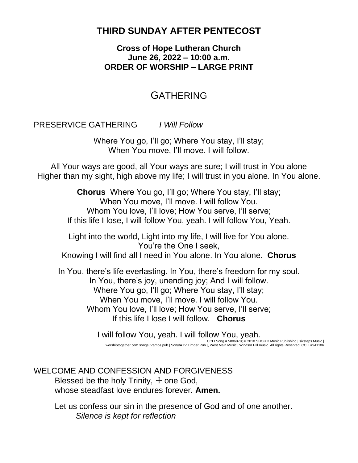## **THIRD SUNDAY AFTER PENTECOST**

#### **Cross of Hope Lutheran Church June 26, 2022 – 10:00 a.m. ORDER OF WORSHIP – LARGE PRINT**

# **GATHERING**

PRESERVICE GATHERING *I Will Follow*

Where You go, I'll go; Where You stay, I'll stay; When You move, I'll move. I will follow.

All Your ways are good, all Your ways are sure; I will trust in You alone Higher than my sight, high above my life; I will trust in you alone. In You alone.

> **Chorus** Where You go, I'll go; Where You stay, I'll stay; When You move, I'll move. I will follow You. Whom You love, I'll love; How You serve, I'll serve; If this life I lose, I will follow You, yeah. I will follow You, Yeah.

> Light into the world, Light into my life, I will live for You alone. You're the One I seek,

Knowing I will find all I need in You alone. In You alone. **Chorus**

In You, there's life everlasting. In You, there's freedom for my soul. In You, there's joy, unending joy; And I will follow. Where You go, I'll go; Where You stay, I'll stay; When You move, I'll move. I will follow You. Whom You love, I'll love; How You serve, I'll serve; If this life I lose I will follow. **Chorus**

> I will follow You, yeah. I will follow You, yeah. | CCLI Song # 5806878; © 2010 SHOUT! Music Publishing | sixsteps Music<br>worshiptogether.com songs| Vamos pub | Sony/ATV Timber Pub |, West Main Music | Windsor Hill music. All rights Reserved. CCLI #941106

WELCOME AND CONFESSION AND FORGIVENESS Blessed be the holy Trinity,  $+$  one God, whose steadfast love endures forever. **Amen.**

> Let us confess our sin in the presence of God and of one another. *Silence is kept for reflection*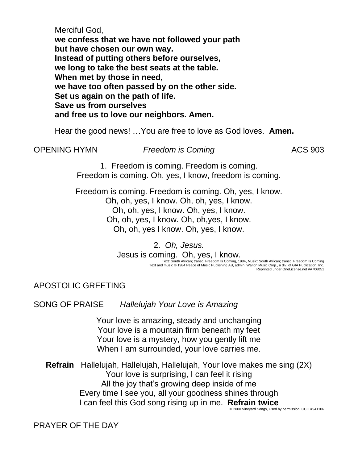Merciful God, **we confess that we have not followed your path but have chosen our own way. Instead of putting others before ourselves, we long to take the best seats at the table. When met by those in need, we have too often passed by on the other side. Set us again on the path of life. Save us from ourselves and free us to love our neighbors. Amen.**

Hear the good news! …You are free to love as God loves. **Amen.**

**OPENING HYMN** *Freedom is Coming* **ACS 903** 

1. Freedom is coming. Freedom is coming. Freedom is coming. Oh, yes, I know, freedom is coming.

Freedom is coming. Freedom is coming. Oh, yes, I know. Oh, oh, yes, I know. Oh, oh, yes, I know. Oh, oh, yes, I know. Oh, yes, I know. Oh, oh, yes, I know. Oh, oh,yes, I know. Oh, oh, yes I know. Oh, yes, I know.

> 2. *Oh, Jesus.* Jesus is coming. Oh, yes, I know. Text: South African; transc. Freedom Is Coming, 1984, Music: South African; transc. Freedom Is Coming<br>Text and music © 1984 Peace of Music Publishing AB, admin. Waltor Mupsic Corp., a div. of GIA Publication, Inc<br>Reprinted

APOSTOLIC GREETING

SONG OF PRAISE *Hallelujah Your Love is Amazing*

Your love is amazing, steady and unchanging Your love is a mountain firm beneath my feet Your love is a mystery, how you gently lift me When I am surrounded, your love carries me.

**Refrain** Hallelujah, Hallelujah, Hallelujah, Your love makes me sing (2X) Your love is surprising, I can feel it rising All the joy that's growing deep inside of me Every time I see you, all your goodness shines through I can feel this God song rising up in me. **Refrain twice**

© 2000 Vineyard Songs, Used by permission, CCLI #941106

PRAYER OF THE DAY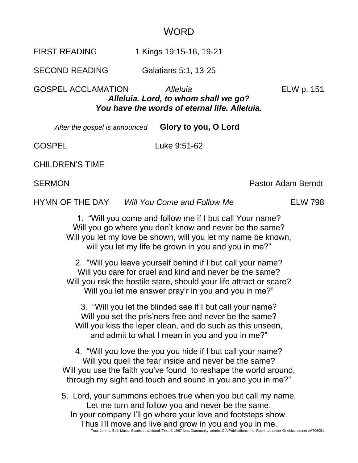## **WORD**

FIRST READING 18 1 Kings 19:15-16, 19-21

SECOND READING Galatians 5:1, 13-25

GOSPEL ACCLAMATION *Alleluia* ELW p. 151 *Alleluia. Lord, to whom shall we go? You have the words of eternal life. Alleluia.*

*After the gospel is announced* **Glory to you, O Lord**

GOSPEL Luke 9:51-62

CHILDREN'S TIME

SERMON **Pastor Adam Berndt** 

HYMN OF THE DAY *Will You Come and Follow Me* ELW 798

1. "Will you come and follow me if I but call Your name? Will you go where you don't know and never be the same? Will you let my love be shown, will you let my name be known, will you let my life be grown in you and you in me?"

2. "Will you leave yourself behind if I but call your name? Will you care for cruel and kind and never be the same? Will you risk the hostile stare, should your life attract or scare? Will you let me answer pray'r in you and you in me?"

3. "Will you let the blinded see if I but call your name? Will you set the pris'ners free and never be the same? Will you kiss the leper clean, and do such as this unseen, and admit to what I mean in you and you in me?"

4. "Will you love the you you hide if I but call your name? Will you quell the fear inside and never be the same? Will you use the faith you've found to reshape the world around, through my sight and touch and sound in you and you in me?"

5. Lord, your summons echoes true when you but call my name. Let me turn and follow you and never be the same.

In your company I'll go where your love and footsteps show. Thus I'll move and live and grow in you and you in me.<br>Text: John L. Bell; Music: Scottish traditional; Text: © 1987 Iona Community, admin. GIA Publications, Inc. Reprinted under OneLicense.net #A706051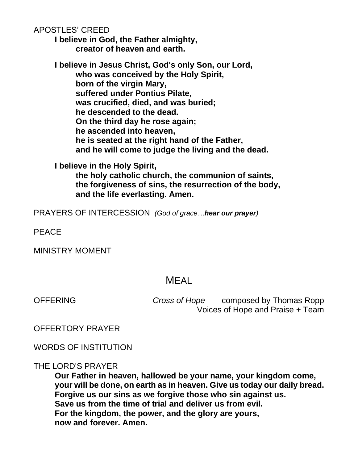APOSTLES' CREED

**I believe in God, the Father almighty, creator of heaven and earth.**

**I believe in Jesus Christ, God's only Son, our Lord, who was conceived by the Holy Spirit, born of the virgin Mary, suffered under Pontius Pilate, was crucified, died, and was buried; he descended to the dead. On the third day he rose again; he ascended into heaven, he is seated at the right hand of the Father, and he will come to judge the living and the dead.**

**I believe in the Holy Spirit, the holy catholic church, the communion of saints, the forgiveness of sins, the resurrection of the body, and the life everlasting. Amen.**

PRAYERS OF INTERCESSION *(God of grace…hear our prayer)*

PEACE

MINISTRY MOMENT

### MEAL

OFFERING *Cross of Hope* composed by Thomas Ropp Voices of Hope and Praise + Team

OFFERTORY PRAYER

WORDS OF INSTITUTION

#### THE LORD'S PRAYER

**Our Father in heaven, hallowed be your name, your kingdom come, your will be done, on earth as in heaven. Give us today our daily bread. Forgive us our sins as we forgive those who sin against us. Save us from the time of trial and deliver us from evil. For the kingdom, the power, and the glory are yours, now and forever. Amen.**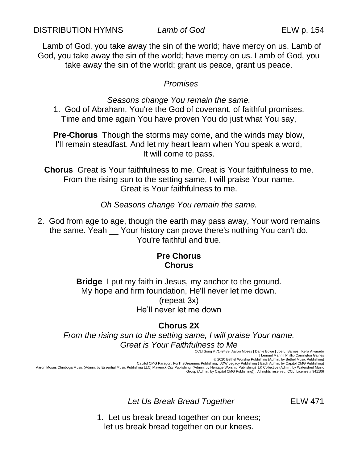Lamb of God, you take away the sin of the world; have mercy on us. Lamb of God, you take away the sin of the world; have mercy on us. Lamb of God, you take away the sin of the world; grant us peace, grant us peace.

#### *Promises*

*Seasons change You remain the same.*

1. God of Abraham, You're the God of covenant, of faithful promises. Time and time again You have proven You do just what You say,

**Pre-Chorus** Though the storms may come, and the winds may blow, I'll remain steadfast. And let my heart learn when You speak a word, It will come to pass.

**Chorus** Great is Your faithfulness to me. Great is Your faithfulness to me. From the rising sun to the setting same, I will praise Your name. Great is Your faithfulness to me.

*Oh Seasons change You remain the same.*

2. God from age to age, though the earth may pass away, Your word remains the same. Yeah \_\_ Your history can prove there's nothing You can't do. You're faithful and true.

### **Pre Chorus Chorus**

**Bridge** I put my faith in Jesus, my anchor to the ground. My hope and firm foundation, He'll never let me down. (repeat 3x) He'll never let me down

## **Chorus 2X**

*From the rising sun to the setting same, I will praise Your name. Great is Your Faithfulness to Me*

CCLI Song # 7149439; Aaron Moses | Dante Bowe | Joe L. Barnes | Keila Alvarado | Lemuel Marin | Phillip Carrington Gaines © 2020 Bethel Worship Publishing (Admin. by Bethel Music Publishing) Capitol CMG Paragon, ForTheDreamers Publishing, JDW Legacy Publishing ( Each Admin. by Capitol CMG Publishing)<br>Aaron Moses Chiriboga Music (Admin. by Essential Music Publishing LLC) Maverick City Publishing (Admin. by Her Group (Admin. by Capitol CMG Publishing)) . All rights reserved. CCLI License # 941106

Let Us Break Bread Together **ELW 471** 

1. Let us break bread together on our knees; let us break bread together on our knees.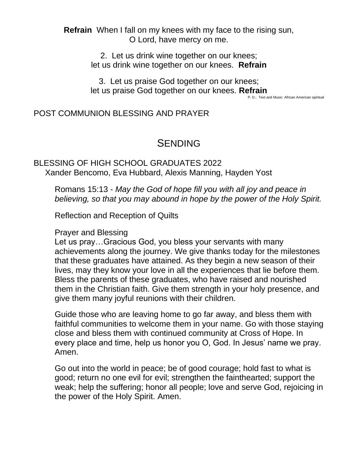**Refrain** When I fall on my knees with my face to the rising sun, O Lord, have mercy on me.

> 2. Let us drink wine together on our knees; let us drink wine together on our knees. **Refrain**

> 3. Let us praise God together on our knees; let us praise God together on our knees. **Refrain**

P. D.; Text and Music: African American spiritual

#### POST COMMUNION BLESSING AND PRAYER

# **SENDING**

BLESSING OF HIGH SCHOOL GRADUATES 2022 Xander Bencomo, Eva Hubbard, Alexis Manning, Hayden Yost

Romans 15:13 - *May the God of hope fill you with all joy and peace in believing, so that you may abound in hope by the power of the Holy Spirit.*

Reflection and Reception of Quilts

Prayer and Blessing

Let us pray…Gracious God, you bless your servants with many achievements along the journey. We give thanks today for the milestones that these graduates have attained. As they begin a new season of their lives, may they know your love in all the experiences that lie before them. Bless the parents of these graduates, who have raised and nourished them in the Christian faith. Give them strength in your holy presence, and give them many joyful reunions with their children.

Guide those who are leaving home to go far away, and bless them with faithful communities to welcome them in your name. Go with those staying close and bless them with continued community at Cross of Hope. In every place and time, help us honor you O, God. In Jesus' name we pray. Amen.

Go out into the world in peace; be of good courage; hold fast to what is good; return no one evil for evil; strengthen the fainthearted; support the weak; help the suffering; honor all people; love and serve God, rejoicing in the power of the Holy Spirit. Amen.